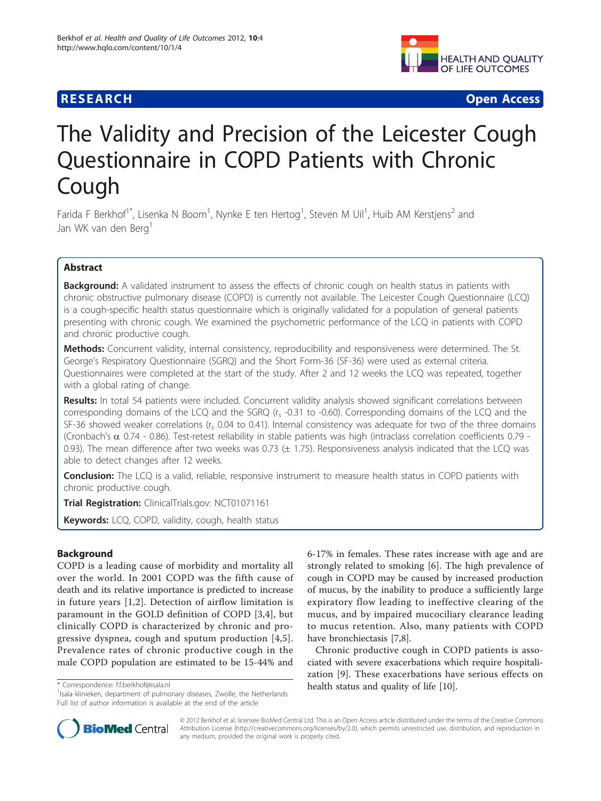# **RESEARCH CONSTRUCTION CONTROL**



# The Validity and Precision of the Leicester Cough Questionnaire in COPD Patients with Chronic Cough

Farida F Berkhof<sup>1\*</sup>, Lisenka N Boom<sup>1</sup>, Nynke E ten Hertog<sup>1</sup>, Steven M Uil<sup>1</sup>, Huib AM Kerstjens<sup>2</sup> and Jan WK van den Berg<sup>1</sup>

# Abstract

**Background:** A validated instrument to assess the effects of chronic cough on health status in patients with chronic obstructive pulmonary disease (COPD) is currently not available. The Leicester Cough Questionnaire (LCQ) is a cough-specific health status questionnaire which is originally validated for a population of general patients presenting with chronic cough. We examined the psychometric performance of the LCQ in patients with COPD and chronic productive cough.

**Methods:** Concurrent validity, internal consistency, reproducibility and responsiveness were determined. The St. George's Respiratory Questionnaire (SGRQ) and the Short Form-36 (SF-36) were used as external criteria. Questionnaires were completed at the start of the study. After 2 and 12 weeks the LCQ was repeated, together with a global rating of change.

Results: In total 54 patients were included. Concurrent validity analysis showed significant correlations between corresponding domains of the LCQ and the SGRQ  $(r<sub>s</sub> -0.31$  to -0.60). Corresponding domains of the LCQ and the SF-36 showed weaker correlations ( $r_s$  0.04 to 0.41). Internal consistency was adequate for two of the three domains (Cronbach's  $\alpha$  0.74 - 0.86). Test-retest reliability in stable patients was high (intraclass correlation coefficients 0.79 -0.93). The mean difference after two weeks was 0.73  $(\pm 1.75)$ . Responsiveness analysis indicated that the LCQ was able to detect changes after 12 weeks.

Conclusion: The LCQ is a valid, reliable, responsive instrument to measure health status in COPD patients with chronic productive cough.

Trial Registration: ClinicalTrials.gov: [NCT01071161](http://www.clinicaltrials.gov/ct2/show/NCT01071161)

**Keywords:** LCQ, COPD, validity, cough, health status

# Background

COPD is a leading cause of morbidity and mortality all over the world. In 2001 COPD was the fifth cause of death and its relative importance is predicted to increase in future years [[1,2](#page-6-0)]. Detection of airflow limitation is paramount in the GOLD definition of COPD [\[3](#page-6-0),[4\]](#page-6-0), but clinically COPD is characterized by chronic and progressive dyspnea, cough and sputum production [\[4,5](#page-6-0)]. Prevalence rates of chronic productive cough in the male COPD population are estimated to be 15-44% and

6-17% in females. These rates increase with age and are strongly related to smoking [\[6](#page-6-0)]. The high prevalence of cough in COPD may be caused by increased production of mucus, by the inability to produce a sufficiently large expiratory flow leading to ineffective clearing of the mucus, and by impaired mucociliary clearance leading to mucus retention. Also, many patients with COPD have bronchiectasis [[7,](#page-6-0)[8\]](#page-7-0).

Chronic productive cough in COPD patients is associated with severe exacerbations which require hospitalization [\[9](#page-7-0)]. These exacerbations have serious effects on health status and quality of life [[10](#page-7-0)]. \* Correspondence: [f.f.berkhof@isala.nl](mailto:f.f.berkhof@isala.nl)



© 2012 Berkhof et al; licensee BioMed Central Ltd. This is an Open Access article distributed under the terms of the Creative Commons Attribution License [\(http://creativecommons.org/licenses/by/2.0](http://creativecommons.org/licenses/by/2.0)), which permits unrestricted use, distribution, and reproduction in any medium, provided the original work is properly cited.

<sup>&</sup>lt;sup>1</sup>Isala klinieken, department of pulmonary diseases, Zwolle, the Netherlands Full list of author information is available at the end of the article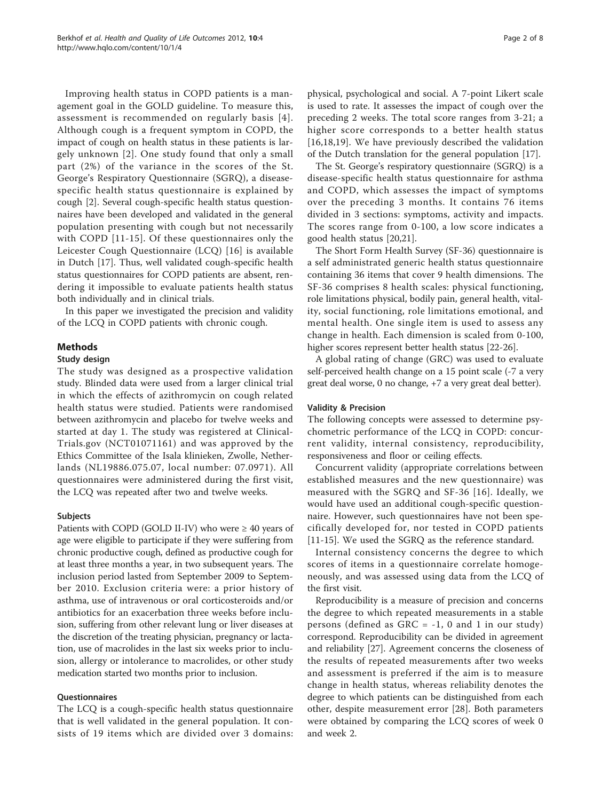Improving health status in COPD patients is a management goal in the GOLD guideline. To measure this, assessment is recommended on regularly basis [[4\]](#page-6-0). Although cough is a frequent symptom in COPD, the impact of cough on health status in these patients is largely unknown [[2\]](#page-6-0). One study found that only a small part (2%) of the variance in the scores of the St. George's Respiratory Questionnaire (SGRQ), a diseasespecific health status questionnaire is explained by cough [\[2\]](#page-6-0). Several cough-specific health status questionnaires have been developed and validated in the general population presenting with cough but not necessarily with COPD [[11-15\]](#page-7-0). Of these questionnaires only the Leicester Cough Questionnaire (LCQ) [[16](#page-7-0)] is available in Dutch [[17](#page-7-0)]. Thus, well validated cough-specific health status questionnaires for COPD patients are absent, rendering it impossible to evaluate patients health status both individually and in clinical trials.

In this paper we investigated the precision and validity of the LCQ in COPD patients with chronic cough.

# Methods

#### Study design

The study was designed as a prospective validation study. Blinded data were used from a larger clinical trial in which the effects of azithromycin on cough related health status were studied. Patients were randomised between azithromycin and placebo for twelve weeks and started at day 1. The study was registered at Clinical-Trials.gov (NCT01071161) and was approved by the Ethics Committee of the Isala klinieken, Zwolle, Netherlands (NL19886.075.07, local number: 07.0971). All questionnaires were administered during the first visit, the LCQ was repeated after two and twelve weeks.

#### Subjects

Patients with COPD (GOLD II-IV) who were  $\geq 40$  years of age were eligible to participate if they were suffering from chronic productive cough, defined as productive cough for at least three months a year, in two subsequent years. The inclusion period lasted from September 2009 to September 2010. Exclusion criteria were: a prior history of asthma, use of intravenous or oral corticosteroids and/or antibiotics for an exacerbation three weeks before inclusion, suffering from other relevant lung or liver diseases at the discretion of the treating physician, pregnancy or lactation, use of macrolides in the last six weeks prior to inclusion, allergy or intolerance to macrolides, or other study medication started two months prior to inclusion.

# **Ouestionnaires**

The LCQ is a cough-specific health status questionnaire that is well validated in the general population. It consists of 19 items which are divided over 3 domains:

physical, psychological and social. A 7-point Likert scale is used to rate. It assesses the impact of cough over the preceding 2 weeks. The total score ranges from 3-21; a higher score corresponds to a better health status [[16,18](#page-7-0),[19\]](#page-7-0). We have previously described the validation of the Dutch translation for the general population [[17\]](#page-7-0).

The St. George's respiratory questionnaire (SGRQ) is a disease-specific health status questionnaire for asthma and COPD, which assesses the impact of symptoms over the preceding 3 months. It contains 76 items divided in 3 sections: symptoms, activity and impacts. The scores range from 0-100, a low score indicates a good health status [\[20,21\]](#page-7-0).

The Short Form Health Survey (SF-36) questionnaire is a self administrated generic health status questionnaire containing 36 items that cover 9 health dimensions. The SF-36 comprises 8 health scales: physical functioning, role limitations physical, bodily pain, general health, vitality, social functioning, role limitations emotional, and mental health. One single item is used to assess any change in health. Each dimension is scaled from 0-100, higher scores represent better health status [\[22](#page-7-0)-[26](#page-7-0)].

A global rating of change (GRC) was used to evaluate self-perceived health change on a 15 point scale (-7 a very great deal worse, 0 no change, +7 a very great deal better).

#### Validity & Precision

The following concepts were assessed to determine psychometric performance of the LCQ in COPD: concurrent validity, internal consistency, reproducibility, responsiveness and floor or ceiling effects.

Concurrent validity (appropriate correlations between established measures and the new questionnaire) was measured with the SGRQ and SF-36 [\[16\]](#page-7-0). Ideally, we would have used an additional cough-specific questionnaire. However, such questionnaires have not been specifically developed for, nor tested in COPD patients [[11-15\]](#page-7-0). We used the SGRQ as the reference standard.

Internal consistency concerns the degree to which scores of items in a questionnaire correlate homogeneously, and was assessed using data from the LCQ of the first visit.

Reproducibility is a measure of precision and concerns the degree to which repeated measurements in a stable persons (defined as  $GRC = -1$ , 0 and 1 in our study) correspond. Reproducibility can be divided in agreement and reliability [\[27\]](#page-7-0). Agreement concerns the closeness of the results of repeated measurements after two weeks and assessment is preferred if the aim is to measure change in health status, whereas reliability denotes the degree to which patients can be distinguished from each other, despite measurement error [\[28](#page-7-0)]. Both parameters were obtained by comparing the LCQ scores of week 0 and week 2.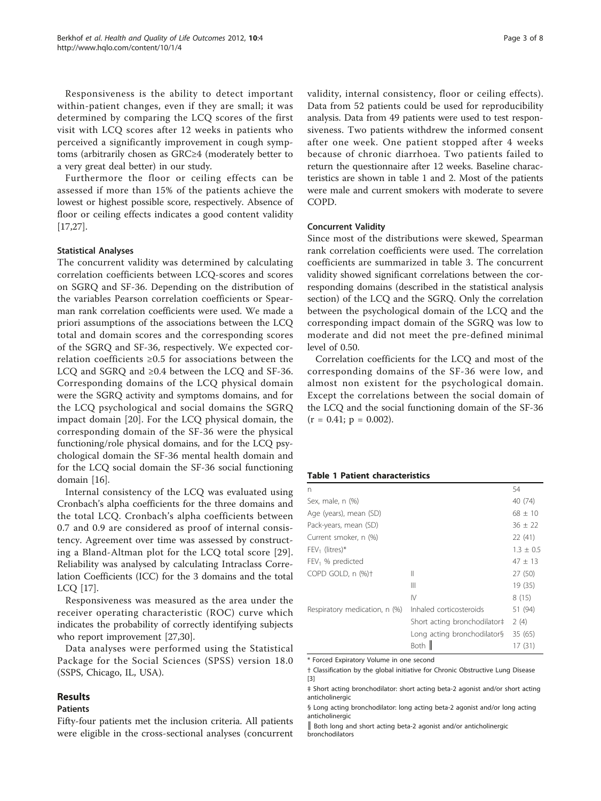Responsiveness is the ability to detect important within-patient changes, even if they are small; it was determined by comparing the LCQ scores of the first visit with LCQ scores after 12 weeks in patients who perceived a significantly improvement in cough symptoms (arbitrarily chosen as GRC≥4 (moderately better to a very great deal better) in our study.

Furthermore the floor or ceiling effects can be assessed if more than 15% of the patients achieve the lowest or highest possible score, respectively. Absence of floor or ceiling effects indicates a good content validity [[17,27\]](#page-7-0).

#### Statistical Analyses

The concurrent validity was determined by calculating correlation coefficients between LCQ-scores and scores on SGRQ and SF-36. Depending on the distribution of the variables Pearson correlation coefficients or Spearman rank correlation coefficients were used. We made a priori assumptions of the associations between the LCQ total and domain scores and the corresponding scores of the SGRQ and SF-36, respectively. We expected correlation coefficients ≥0.5 for associations between the LCQ and SGRQ and ≥0.4 between the LCQ and SF-36. Corresponding domains of the LCQ physical domain were the SGRQ activity and symptoms domains, and for the LCQ psychological and social domains the SGRQ impact domain [[20\]](#page-7-0). For the LCQ physical domain, the corresponding domain of the SF-36 were the physical functioning/role physical domains, and for the LCQ psychological domain the SF-36 mental health domain and for the LCQ social domain the SF-36 social functioning domain [[16\]](#page-7-0).

Internal consistency of the LCQ was evaluated using Cronbach's alpha coefficients for the three domains and the total LCQ. Cronbach's alpha coefficients between 0.7 and 0.9 are considered as proof of internal consistency. Agreement over time was assessed by constructing a Bland-Altman plot for the LCQ total score [[29](#page-7-0)]. Reliability was analysed by calculating Intraclass Correlation Coefficients (ICC) for the 3 domains and the total LCQ [[17\]](#page-7-0).

Responsiveness was measured as the area under the receiver operating characteristic (ROC) curve which indicates the probability of correctly identifying subjects who report improvement [\[27,30](#page-7-0)].

Data analyses were performed using the Statistical Package for the Social Sciences (SPSS) version 18.0 (SSPS, Chicago, IL, USA).

# Results

# Patients

Fifty-four patients met the inclusion criteria. All patients were eligible in the cross-sectional analyses (concurrent validity, internal consistency, floor or ceiling effects). Data from 52 patients could be used for reproducibility analysis. Data from 49 patients were used to test responsiveness. Two patients withdrew the informed consent after one week. One patient stopped after 4 weeks because of chronic diarrhoea. Two patients failed to return the questionnaire after 12 weeks. Baseline characteristics are shown in table 1 and [2.](#page-3-0) Most of the patients were male and current smokers with moderate to severe COPD.

#### Concurrent Validity

Since most of the distributions were skewed, Spearman rank correlation coefficients were used. The correlation coefficients are summarized in table [3.](#page-3-0) The concurrent validity showed significant correlations between the corresponding domains (described in the statistical analysis section) of the LCQ and the SGRQ. Only the correlation between the psychological domain of the LCQ and the corresponding impact domain of the SGRQ was low to moderate and did not meet the pre-defined minimal level of 0.50.

Correlation coefficients for the LCQ and most of the corresponding domains of the SF-36 were low, and almost non existent for the psychological domain. Except the correlations between the social domain of the LCQ and the social functioning domain of the SF-36  $(r = 0.41; p = 0.002).$ 

#### Table 1 Patient characteristics

|                              | 54            |
|------------------------------|---------------|
|                              | 40 (74)       |
|                              | $68 \pm 10$   |
|                              | $36 \pm 22$   |
|                              | 22(41)        |
|                              | $1.3 \pm 0.5$ |
|                              | $47 \pm 13$   |
| Ш                            | 27 (50)       |
| Ш                            | 19 (35)       |
| IV                           | 8(15)         |
| Inhaled corticosteroids      | 51 (94)       |
| Short acting bronchodilator# | 2(4)          |
| Long acting bronchodilator§  | 35(65)        |
| Both                         | 17 (31)       |
|                              |               |

\* Forced Expiratory Volume in one second

† Classification by the global initiative for Chronic Obstructive Lung Disease [[3](#page-6-0)]

<sup>‡</sup> Short acting bronchodilator: short acting beta-2 agonist and/or short acting anticholinergic

<sup>§</sup> Long acting bronchodilator: long acting beta-2 agonist and/or long acting anticholinergic

<sup>║</sup> Both long and short acting beta-2 agonist and/or anticholinergic bronchodilators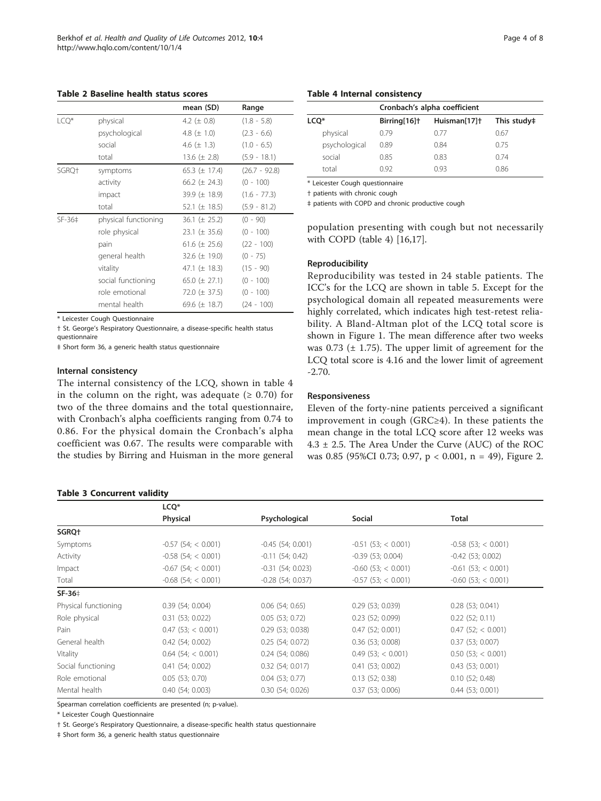<span id="page-3-0"></span>Table 2 Baseline health status scores

|        |                      | mean (SD)          | Range           |
|--------|----------------------|--------------------|-----------------|
| LCQ*   | physical             | 4.2 ( $\pm$ 0.8)   | $(1.8 - 5.8)$   |
|        | psychological        | 4.8 ( $\pm$ 1.0)   | $(2.3 - 6.6)$   |
|        | social               | 4.6 ( $\pm$ 1.3)   | $(1.0 - 6.5)$   |
|        | total                | 13.6 $(\pm 2.8)$   | $(5.9 - 18.1)$  |
| SGRO+  | symptoms             | 65.3 ( $\pm$ 17.4) | $(26.7 - 92.8)$ |
|        | activity             | 66.2 ( $\pm$ 24.3) | $(0 - 100)$     |
|        | impact               | 39.9 (± 18.9)      | $(1.6 - 77.3)$  |
|        | total                | 52.1 ( $\pm$ 18.5) | $(5.9 - 81.2)$  |
| SF-36‡ | physical functioning | $36.1 (\pm 25.2)$  | $(0 - 90)$      |
|        | role physical        | $23.1 (\pm 35.6)$  | $(0 - 100)$     |
|        | pain                 | 61.6 $(\pm 25.6)$  | $(22 - 100)$    |
|        | general health       | 32.6 $(\pm 19.0)$  | $(0 - 75)$      |
|        | vitality             | 47.1 ( $\pm$ 18.3) | $(15 - 90)$     |
|        | social functioning   | 65.0 ( $\pm$ 27.1) | $(0 - 100)$     |
|        | role emotional       | 72.0 ( $\pm$ 37.5) | $(0 - 100)$     |
|        | mental health        | 69.6 ( $\pm$ 18.7) | $(24 - 100)$    |

\* Leicester Cough Questionnaire

† St. George's Respiratory Questionnaire, a disease-specific health status questionnaire

‡ Short form 36, a generic health status questionnaire

#### Internal consistency

The internal consistency of the LCQ, shown in table 4 in the column on the right, was adequate ( $\geq 0.70$ ) for two of the three domains and the total questionnaire, with Cronbach's alpha coefficients ranging from 0.74 to 0.86. For the physical domain the Cronbach's alpha coefficient was 0.67. The results were comparable with the studies by Birring and Huisman in the more general

# Table 3 Concurrent validity

| Cronbach's alpha coefficient |                          |                          |             |  |
|------------------------------|--------------------------|--------------------------|-------------|--|
| LCO*                         | Birring[16] <sup>+</sup> | Huisman[17] <sup>+</sup> | This study‡ |  |
| physical                     | 0.79                     | 0.77                     | 0.67        |  |
| psychological                | 0.89                     | 0.84                     | 0.75        |  |
| social                       | 0.85                     | 0.83                     | 074         |  |
| total                        | 092                      | 0.93                     | 0.86        |  |
|                              |                          |                          |             |  |

\* Leicester Cough questionnaire

† patients with chronic cough

‡ patients with COPD and chronic productive cough

population presenting with cough but not necessarily with COPD (table 4) [\[16,17\]](#page-7-0).

#### Reproducibility

Reproducibility was tested in 24 stable patients. The ICC's for the LCQ are shown in table [5.](#page-4-0) Except for the psychological domain all repeated measurements were highly correlated, which indicates high test-retest reliability. A Bland-Altman plot of the LCQ total score is shown in Figure [1.](#page-4-0) The mean difference after two weeks was  $0.73$  ( $\pm$  1.75). The upper limit of agreement for the LCQ total score is 4.16 and the lower limit of agreement -2.70.

#### Responsiveness

Eleven of the forty-nine patients perceived a significant improvement in cough (GRC≥4). In these patients the mean change in the total LCQ score after 12 weeks was  $4.3 \pm 2.5$ . The Area Under the Curve (AUC) of the ROC was 0.85 (95%CI 0.73; 0.97, p < 0.001, n = 49), Figure [2](#page-5-0).

|                      | LCQ <sup>*</sup>         |                     |                          |                       |
|----------------------|--------------------------|---------------------|--------------------------|-----------------------|
|                      | Physical                 | Psychological       | Social                   | <b>Total</b>          |
| SGRQ+                |                          |                     |                          |                       |
| Symptoms             | $-0.57$ (54; < 0.001)    | $-0.45(54; 0.001)$  | $-0.51(53) < 0.001$      | $-0.58$ (53; < 0.001) |
| Activity             | $-0.58$ (54; $< 0.001$ ) | $-0.11(54; 0.42)$   | $-0.39(53; 0.004)$       | $-0.42$ (53; 0.002)   |
| Impact               | $-0.67$ (54; < 0.001)    | $-0.31(54; 0.023)$  | $-0.60$ (53; $< 0.001$ ) | $-0.61$ (53; < 0.001) |
| Total                | $-0.68$ (54; < 0.001)    | $-0.28$ (54; 0.037) | $-0.57$ (53; < 0.001)    | $-0.60$ (53; < 0.001) |
| SF-36‡               |                          |                     |                          |                       |
| Physical functioning | 0.39(54; 0.004)          | $0.06$ (54; 0.65)   | $0.29$ (53; 0.039)       | $0.28$ (53; 0.041)    |
| Role physical        | 0.31(53; 0.022)          | $0.05$ (53; 0.72)   | $0.23$ (52; 0.099)       | $0.22$ (52; 0.11)     |
| Pain                 | 0.47(53; < 0.001)        | 0.29(53; 0.038)     | $0.47$ (52; 0.001)       | $0.47$ (52; < 0.001)  |
| General health       | $0.42$ (54; 0.002)       | $0.25$ (54; 0.072)  | $0.36$ (53; 0.008)       | 0.37(53; 0.007)       |
| Vitality             | $0.64$ (54; < 0.001)     | $0.24$ (54; 0.086)  | $0.49$ (53; < 0.001)     | $0.50$ (53; < 0.001)  |
| Social functioning   | 0.41(54; 0.002)          | $0.32$ (54; 0.017)  | 0.41(53; 0.002)          | $0.43$ (53; 0.001)    |
| Role emotional       | $0.05$ (53; 0.70)        | $0.04$ (53; 0.77)   | $0.13$ (52; 0.38)        | $0.10$ (52; 0.48)     |
| Mental health        | 0.40(54; 0.003)          | 0.30(54; 0.026)     | 0.37(53; 0.006)          | $0.44$ (53; 0.001)    |

Spearman correlation coefficients are presented (n; p-value).

\* Leicester Cough Questionnaire

† St. George's Respiratory Questionnaire, a disease-specific health status questionnaire

‡ Short form 36, a generic health status questionnaire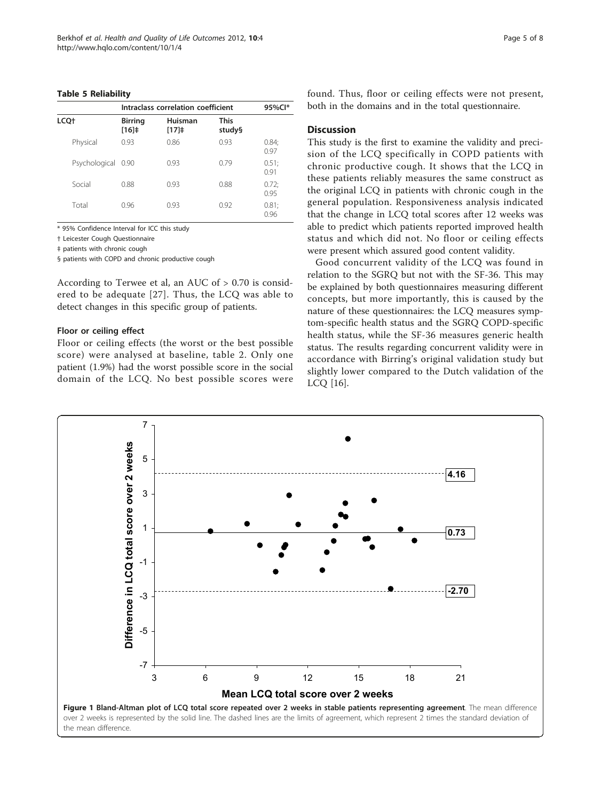#### <span id="page-4-0"></span>Table 5 Reliability

|                  |                    | Intraclass correlation coefficient |                 |                       | 95%Cl*        |
|------------------|--------------------|------------------------------------|-----------------|-----------------------|---------------|
| LCQ <sup>+</sup> |                    | <b>Birring</b><br>[16]             | Huisman<br>[17] | <b>This</b><br>study§ |               |
|                  | Physical           | 0.93                               | 0.86            | 0.93                  | 0.84;<br>0.97 |
|                  | Psychological 0.90 |                                    | 0.93            | 0.79                  | 0.51;<br>0.91 |
|                  | Social             | 0.88                               | 0.93            | 0.88                  | 0.72;<br>0.95 |
|                  | Total              | 0.96                               | 0.93            | 0.92                  | 0.81;<br>0.96 |

\* 95% Confidence Interval for ICC this study

† Leicester Cough Questionnaire

‡ patients with chronic cough

§ patients with COPD and chronic productive cough

According to Terwee et al, an AUC of > 0.70 is considered to be adequate [\[27\]](#page-7-0). Thus, the LCQ was able to detect changes in this specific group of patients.

#### Floor or ceiling effect

Floor or ceiling effects (the worst or the best possible score) were analysed at baseline, table [2](#page-3-0). Only one patient (1.9%) had the worst possible score in the social domain of the LCQ. No best possible scores were found. Thus, floor or ceiling effects were not present, both in the domains and in the total questionnaire.

#### **Discussion**

This study is the first to examine the validity and precision of the LCQ specifically in COPD patients with chronic productive cough. It shows that the LCQ in these patients reliably measures the same construct as the original LCQ in patients with chronic cough in the general population. Responsiveness analysis indicated that the change in LCQ total scores after 12 weeks was able to predict which patients reported improved health status and which did not. No floor or ceiling effects were present which assured good content validity.

Good concurrent validity of the LCQ was found in relation to the SGRQ but not with the SF-36. This may be explained by both questionnaires measuring different concepts, but more importantly, this is caused by the nature of these questionnaires: the LCQ measures symptom-specific health status and the SGRQ COPD-specific health status, while the SF-36 measures generic health status. The results regarding concurrent validity were in accordance with Birring's original validation study but slightly lower compared to the Dutch validation of the LCQ [[16\]](#page-7-0).

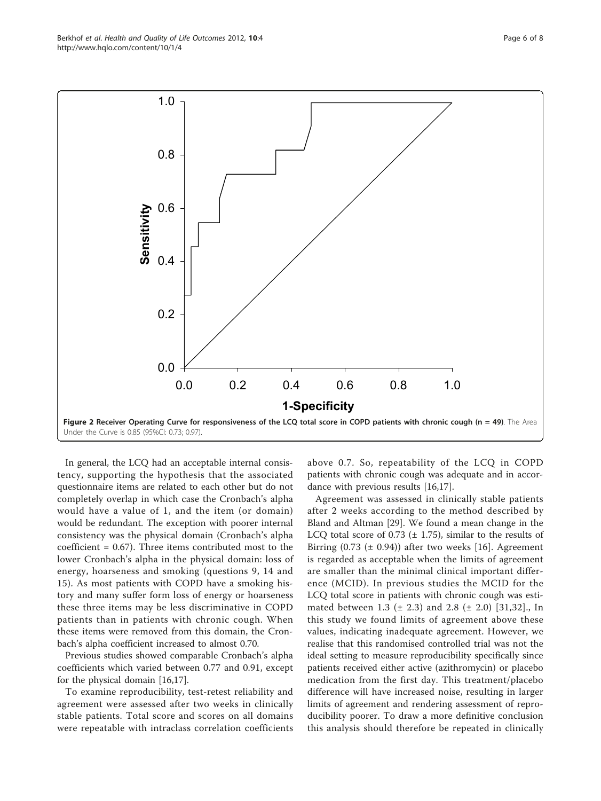<span id="page-5-0"></span>Berkhof et al. Health and Quality of Life Outcomes 2012, 10:4 http://www.hqlo.com/content/10/1/4



In general, the LCQ had an acceptable internal consistency, supporting the hypothesis that the associated questionnaire items are related to each other but do not completely overlap in which case the Cronbach's alpha would have a value of 1, and the item (or domain) would be redundant. The exception with poorer internal consistency was the physical domain (Cronbach's alpha coefficient = 0.67). Three items contributed most to the lower Cronbach's alpha in the physical domain: loss of energy, hoarseness and smoking (questions 9, 14 and 15). As most patients with COPD have a smoking history and many suffer form loss of energy or hoarseness these three items may be less discriminative in COPD patients than in patients with chronic cough. When these items were removed from this domain, the Cronbach's alpha coefficient increased to almost 0.70.

Previous studies showed comparable Cronbach's alpha coefficients which varied between 0.77 and 0.91, except for the physical domain [\[16,17](#page-7-0)].

To examine reproducibility, test-retest reliability and agreement were assessed after two weeks in clinically stable patients. Total score and scores on all domains were repeatable with intraclass correlation coefficients

above 0.7. So, repeatability of the LCQ in COPD patients with chronic cough was adequate and in accordance with previous results [\[16,17\]](#page-7-0).

Agreement was assessed in clinically stable patients after 2 weeks according to the method described by Bland and Altman [[29](#page-7-0)]. We found a mean change in the LCQ total score of 0.73 ( $\pm$  1.75), similar to the results of Birring  $(0.73 \ (\pm \ 0.94))$  after two weeks [[16\]](#page-7-0). Agreement is regarded as acceptable when the limits of agreement are smaller than the minimal clinical important difference (MCID). In previous studies the MCID for the LCQ total score in patients with chronic cough was estimated between 1.3 ( $\pm$  2.3) and 2.8 ( $\pm$  2.0) [[31](#page-7-0),[32\]](#page-7-0)., In this study we found limits of agreement above these values, indicating inadequate agreement. However, we realise that this randomised controlled trial was not the ideal setting to measure reproducibility specifically since patients received either active (azithromycin) or placebo medication from the first day. This treatment/placebo difference will have increased noise, resulting in larger limits of agreement and rendering assessment of reproducibility poorer. To draw a more definitive conclusion this analysis should therefore be repeated in clinically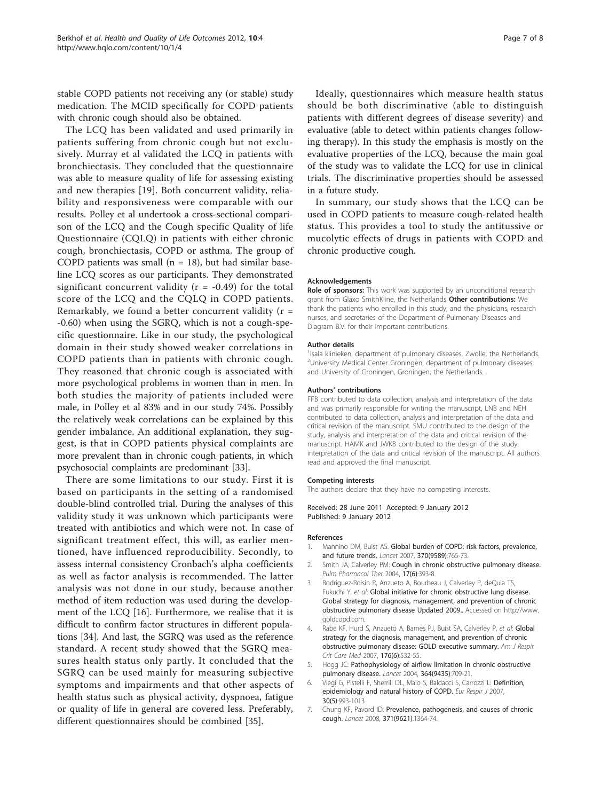<span id="page-6-0"></span>stable COPD patients not receiving any (or stable) study medication. The MCID specifically for COPD patients with chronic cough should also be obtained.

The LCQ has been validated and used primarily in patients suffering from chronic cough but not exclusively. Murray et al validated the LCQ in patients with bronchiectasis. They concluded that the questionnaire was able to measure quality of life for assessing existing and new therapies [[19\]](#page-7-0). Both concurrent validity, reliability and responsiveness were comparable with our results. Polley et al undertook a cross-sectional comparison of the LCQ and the Cough specific Quality of life Questionnaire (CQLQ) in patients with either chronic cough, bronchiectasis, COPD or asthma. The group of COPD patients was small ( $n = 18$ ), but had similar baseline LCQ scores as our participants. They demonstrated significant concurrent validity ( $r = -0.49$ ) for the total score of the LCQ and the CQLQ in COPD patients. Remarkably, we found a better concurrent validity  $(r =$ -0.60) when using the SGRQ, which is not a cough-specific questionnaire. Like in our study, the psychological domain in their study showed weaker correlations in COPD patients than in patients with chronic cough. They reasoned that chronic cough is associated with more psychological problems in women than in men. In both studies the majority of patients included were male, in Polley et al 83% and in our study 74%. Possibly the relatively weak correlations can be explained by this gender imbalance. An additional explanation, they suggest, is that in COPD patients physical complaints are more prevalent than in chronic cough patients, in which psychosocial complaints are predominant [\[33\]](#page-7-0).

There are some limitations to our study. First it is based on participants in the setting of a randomised double-blind controlled trial. During the analyses of this validity study it was unknown which participants were treated with antibiotics and which were not. In case of significant treatment effect, this will, as earlier mentioned, have influenced reproducibility. Secondly, to assess internal consistency Cronbach's alpha coefficients as well as factor analysis is recommended. The latter analysis was not done in our study, because another method of item reduction was used during the development of the LCQ [\[16](#page-7-0)]. Furthermore, we realise that it is difficult to confirm factor structures in different populations [[34\]](#page-7-0). And last, the SGRQ was used as the reference standard. A recent study showed that the SGRQ measures health status only partly. It concluded that the SGRQ can be used mainly for measuring subjective symptoms and impairments and that other aspects of health status such as physical activity, dyspnoea, fatigue or quality of life in general are covered less. Preferably, different questionnaires should be combined [\[35\]](#page-7-0).

Ideally, questionnaires which measure health status should be both discriminative (able to distinguish patients with different degrees of disease severity) and evaluative (able to detect within patients changes following therapy). In this study the emphasis is mostly on the evaluative properties of the LCQ, because the main goal of the study was to validate the LCQ for use in clinical trials. The discriminative properties should be assessed in a future study.

In summary, our study shows that the LCQ can be used in COPD patients to measure cough-related health status. This provides a tool to study the antitussive or mucolytic effects of drugs in patients with COPD and chronic productive cough.

#### Acknowledgements

Role of sponsors: This work was supported by an unconditional research grant from Glaxo SmithKline, the Netherlands Other contributions: We thank the patients who enrolled in this study, and the physicians, research nurses, and secretaries of the Department of Pulmonary Diseases and Diagram B.V. for their important contributions.

#### Author details

<sup>1</sup> Isala klinieken, department of pulmonary diseases, Zwolle, the Netherlands. <sup>2</sup>University Medical Center Groningen, department of pulmonary diseases and University of Groningen, Groningen, the Netherlands.

#### Authors' contributions

FFB contributed to data collection, analysis and interpretation of the data and was primarily responsible for writing the manuscript, LNB and NEH contributed to data collection, analysis and interpretation of the data and critical revision of the manuscript. SMU contributed to the design of the study, analysis and interpretation of the data and critical revision of the manuscript. HAMK and JWKB contributed to the design of the study, interpretation of the data and critical revision of the manuscript. All authors read and approved the final manuscript.

#### Competing interests

The authors declare that they have no competing interests.

Received: 28 June 2011 Accepted: 9 January 2012 Published: 9 January 2012

#### References

- 1. Mannino DM, Buist AS: [Global burden of COPD: risk factors, prevalence,](http://www.ncbi.nlm.nih.gov/pubmed/17765526?dopt=Abstract) [and future trends.](http://www.ncbi.nlm.nih.gov/pubmed/17765526?dopt=Abstract) Lancet 2007, 370(9589):765-73.
- 2. Smith JA, Calverley PM: [Cough in chronic obstructive pulmonary disease.](http://www.ncbi.nlm.nih.gov/pubmed/15564082?dopt=Abstract) Pulm Pharmacol Ther 2004, 17(6):393-8.
- 3. Rodriguez-Roisin R, Anzueto A, Bourbeau J, Calverley P, deQuia TS, Fukuchi Y, et al: Global initiative for chronic obstructive lung disease. Global strategy for diagnosis, management, and prevention of chronic obstructive pulmonary disease Updated 2009., Accessed on http://www. goldcopd.com.
- 4. Rabe KF, Hurd S, Anzueto A, Barnes PJ, Buist SA, Calverley P, et al: [Global](http://www.ncbi.nlm.nih.gov/pubmed/17507545?dopt=Abstract) [strategy for the diagnosis, management, and prevention of chronic](http://www.ncbi.nlm.nih.gov/pubmed/17507545?dopt=Abstract) [obstructive pulmonary disease: GOLD executive summary.](http://www.ncbi.nlm.nih.gov/pubmed/17507545?dopt=Abstract) Am J Respir Crit Care Med 2007, 176(6):532-55.
- 5. Hogg JC: [Pathophysiology of airflow limitation in chronic obstructive](http://www.ncbi.nlm.nih.gov/pubmed/15325838?dopt=Abstract) [pulmonary disease.](http://www.ncbi.nlm.nih.gov/pubmed/15325838?dopt=Abstract) Lancet 2004, 364(9435):709-21.
- Viegi G, Pistelli F, Sherrill DL, Maio S, Baldacci S, Carrozzi L: [Definition,](http://www.ncbi.nlm.nih.gov/pubmed/17978157?dopt=Abstract) [epidemiology and natural history of COPD.](http://www.ncbi.nlm.nih.gov/pubmed/17978157?dopt=Abstract) Eur Respir J 2007, 30(5):993-1013.
- 7. Chung KF, Pavord ID: [Prevalence, pathogenesis, and causes of chronic](http://www.ncbi.nlm.nih.gov/pubmed/18424325?dopt=Abstract) [cough.](http://www.ncbi.nlm.nih.gov/pubmed/18424325?dopt=Abstract) Lancet 2008, 371(9621):1364-74.